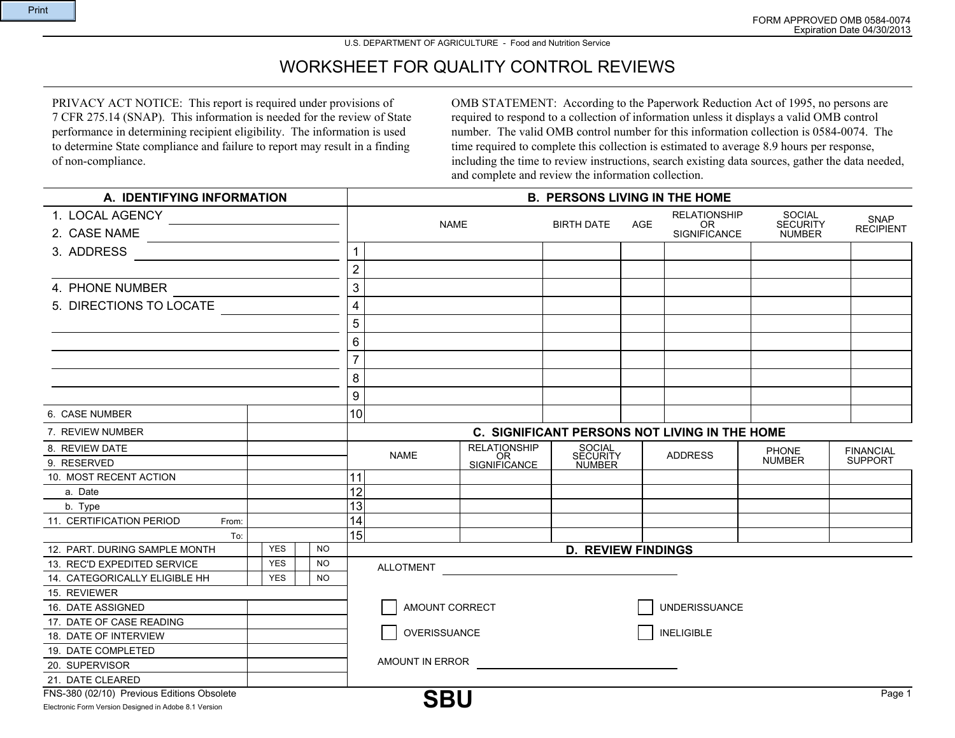## U.S. DEPARTMENT OF AGRICULTURE - Food and Nutrition Service

## WORKSHEET FOR QUALITY CONTROL REVIEWS

PRIVACY ACT NOTICE: This report is required under provisions of 7 CFR 275.14 (SNAP). This information is needed for the review of State performance in determining recipient eligibility. The information is used to determine State compliance and failure to report may result in a finding of non-compliance.

OMB STATEMENT: According to the Paperwork Reduction Act of 1995, no persons are required to respond to a collection of information unless it displays a valid OMB control number. The valid OMB control number for this information collection is 0584-0074. The time required to complete this collection is estimated to average 8.9 hours per response, including the time to review instructions, search existing data sources, gather the data needed, and complete and review the information collection.

| A. IDENTIFYING INFORMATION                              |  |            |     | <b>B. PERSONS LIVING IN THE HOME</b> |                  |                                    |                              |            |                                               |                                  |                  |
|---------------------------------------------------------|--|------------|-----|--------------------------------------|------------------|------------------------------------|------------------------------|------------|-----------------------------------------------|----------------------------------|------------------|
| 1. LOCAL AGENCY                                         |  |            |     |                                      |                  |                                    |                              |            | <b>RELATIONSHIP</b>                           | <b>SOCIAL</b>                    | <b>SNAP</b>      |
| 2. CASE NAME                                            |  |            |     |                                      | <b>NAME</b>      |                                    | <b>BIRTH DATE</b>            | <b>AGE</b> | <b>OR</b><br><b>SIGNIFICANCE</b>              | <b>SECURITY</b><br><b>NUMBER</b> | <b>RECIPIENT</b> |
| 3. ADDRESS                                              |  |            |     | $\mathbf{1}$                         |                  |                                    |                              |            |                                               |                                  |                  |
|                                                         |  |            |     | $\overline{2}$                       |                  |                                    |                              |            |                                               |                                  |                  |
| 4. PHONE NUMBER                                         |  |            |     | $\ensuremath{\mathsf{3}}$            |                  |                                    |                              |            |                                               |                                  |                  |
| 5. DIRECTIONS TO LOCATE                                 |  |            |     | 4                                    |                  |                                    |                              |            |                                               |                                  |                  |
|                                                         |  |            |     | 5                                    |                  |                                    |                              |            |                                               |                                  |                  |
|                                                         |  |            |     |                                      |                  |                                    |                              |            |                                               |                                  |                  |
|                                                         |  |            |     | 6                                    |                  |                                    |                              |            |                                               |                                  |                  |
|                                                         |  |            |     | $\overline{7}$                       |                  |                                    |                              |            |                                               |                                  |                  |
|                                                         |  |            |     | 8                                    |                  |                                    |                              |            |                                               |                                  |                  |
|                                                         |  |            |     | 9                                    |                  |                                    |                              |            |                                               |                                  |                  |
| 6. CASE NUMBER                                          |  |            |     | 10                                   |                  |                                    |                              |            |                                               |                                  |                  |
| 7. REVIEW NUMBER                                        |  |            |     |                                      |                  |                                    |                              |            | C. SIGNIFICANT PERSONS NOT LIVING IN THE HOME |                                  |                  |
| 8. REVIEW DATE                                          |  |            |     |                                      | <b>NAME</b>      |                                    |                              |            | <b>ADDRESS</b>                                | <b>PHONE</b>                     | <b>FINANCIAL</b> |
| 9. RESERVED                                             |  |            |     |                                      |                  | RELATIONSHIP<br>OR<br>SIGNIFICANCE | SOCIAL<br>SECURITY<br>NUMBER |            |                                               | <b>NUMBER</b>                    | <b>SUPPORT</b>   |
| 10. MOST RECENT ACTION                                  |  |            |     | 11                                   |                  |                                    |                              |            |                                               |                                  |                  |
| a. Date                                                 |  |            |     | 12                                   |                  |                                    |                              |            |                                               |                                  |                  |
| b. Type                                                 |  |            |     | 13                                   |                  |                                    |                              |            |                                               |                                  |                  |
| 11. CERTIFICATION PERIOD<br>From:                       |  |            |     | 14                                   |                  |                                    |                              |            |                                               |                                  |                  |
| To:                                                     |  |            |     | 15                                   |                  |                                    |                              |            |                                               |                                  |                  |
| 12. PART. DURING SAMPLE MONTH                           |  | <b>YES</b> | NO. |                                      |                  |                                    | <b>D. REVIEW FINDINGS</b>    |            |                                               |                                  |                  |
| 13. REC'D EXPEDITED SERVICE                             |  | <b>YES</b> | NO. |                                      | <b>ALLOTMENT</b> |                                    |                              |            |                                               |                                  |                  |
| 14. CATEGORICALLY ELIGIBLE HH                           |  | <b>YES</b> | NO. |                                      |                  |                                    |                              |            |                                               |                                  |                  |
| 15. REVIEWER                                            |  |            |     |                                      |                  |                                    |                              |            |                                               |                                  |                  |
| 16. DATE ASSIGNED                                       |  |            |     |                                      | AMOUNT CORRECT   |                                    |                              |            | <b>UNDERISSUANCE</b>                          |                                  |                  |
| 17. DATE OF CASE READING                                |  |            |     |                                      |                  |                                    |                              |            |                                               |                                  |                  |
| 18. DATE OF INTERVIEW                                   |  |            |     |                                      | OVERISSUANCE     |                                    |                              |            | <b>INELIGIBLE</b>                             |                                  |                  |
| 19. DATE COMPLETED                                      |  |            |     |                                      |                  |                                    |                              |            |                                               |                                  |                  |
| 20. SUPERVISOR                                          |  |            |     |                                      | AMOUNT IN ERROR  |                                    |                              |            |                                               |                                  |                  |
| 21. DATE CLEARED                                        |  |            |     |                                      |                  |                                    |                              |            |                                               |                                  |                  |
| FNS-380 (02/10) Previous Editions Obsolete              |  |            |     |                                      | <b>SBU</b>       |                                    |                              |            |                                               |                                  | Page 1           |
| Floatsonia Form Vargion Decisional in Adoba 0.4 Vargion |  |            |     |                                      |                  |                                    |                              |            |                                               |                                  |                  |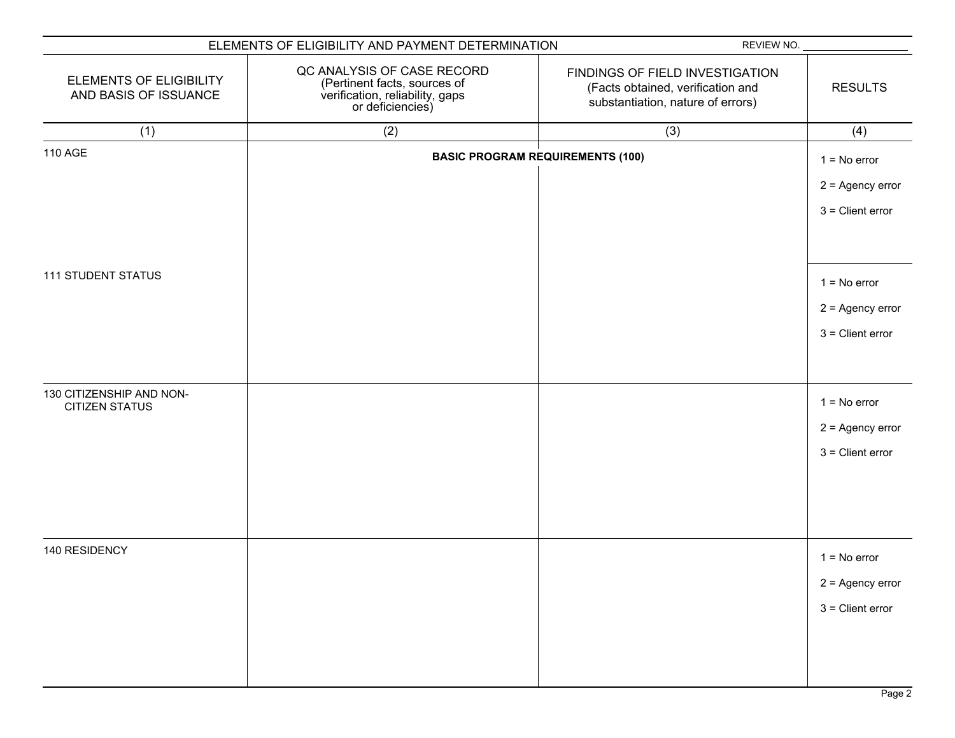|                                                         | ELEMENTS OF ELIGIBILITY AND PAYMENT DETERMINATION                                                                 | REVIEW NO.                                                                                                |                                                            |
|---------------------------------------------------------|-------------------------------------------------------------------------------------------------------------------|-----------------------------------------------------------------------------------------------------------|------------------------------------------------------------|
| <b>ELEMENTS OF ELIGIBILITY</b><br>AND BASIS OF ISSUANCE | QC ANALYSIS OF CASE RECORD<br>(Pertinent facts, sources of<br>verification, reliability, gaps<br>or deficiencies) | FINDINGS OF FIELD INVESTIGATION<br>(Facts obtained, verification and<br>substantiation, nature of errors) | <b>RESULTS</b>                                             |
| (1)                                                     | (2)                                                                                                               | (3)                                                                                                       | (4)                                                        |
| <b>110 AGE</b>                                          |                                                                                                                   | <b>BASIC PROGRAM REQUIREMENTS (100)</b>                                                                   | $1 = No error$<br>$2 =$ Agency error<br>$3$ = Client error |
| <b>111 STUDENT STATUS</b>                               |                                                                                                                   |                                                                                                           | $1 = No error$<br>$2 =$ Agency error<br>$3$ = Client error |
| 130 CITIZENSHIP AND NON-<br><b>CITIZEN STATUS</b>       |                                                                                                                   |                                                                                                           | $1 = No error$<br>$2 =$ Agency error<br>$3$ = Client error |
| 140 RESIDENCY                                           |                                                                                                                   |                                                                                                           | $1 = No error$<br>$2 =$ Agency error<br>$3 =$ Client error |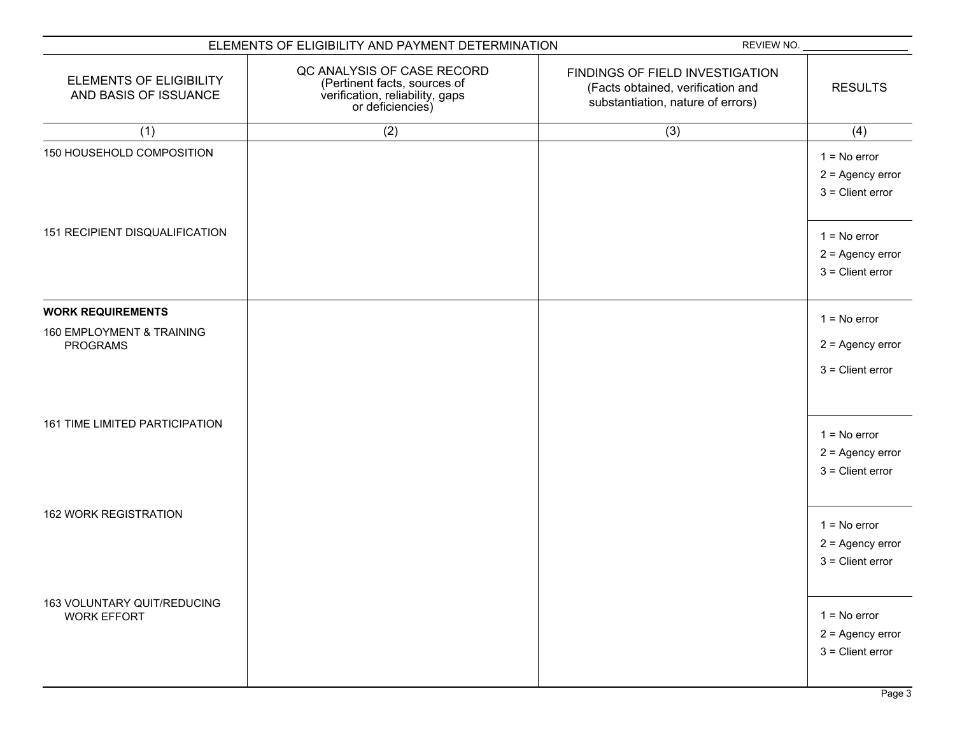|                                                         | ELEMENTS OF ELIGIBILITY AND PAYMENT DETERMINATION                                                                 | REVIEW NO.                                                                                                |                                                            |
|---------------------------------------------------------|-------------------------------------------------------------------------------------------------------------------|-----------------------------------------------------------------------------------------------------------|------------------------------------------------------------|
| <b>ELEMENTS OF ELIGIBILITY</b><br>AND BASIS OF ISSUANCE | QC ANALYSIS OF CASE RECORD<br>(Pertinent facts, sources of<br>verification, reliability, gaps<br>or deficiencies) | FINDINGS OF FIELD INVESTIGATION<br>(Facts obtained, verification and<br>substantiation, nature of errors) | <b>RESULTS</b>                                             |
| (1)                                                     | (2)                                                                                                               | (3)                                                                                                       | (4)                                                        |
| 150 HOUSEHOLD COMPOSITION                               |                                                                                                                   |                                                                                                           | $1 = No error$<br>$2 =$ Agency error<br>$3$ = Client error |
| 151 RECIPIENT DISQUALIFICATION                          |                                                                                                                   |                                                                                                           | $1 = No error$<br>$2 =$ Agency error<br>$3$ = Client error |
| <b>WORK REQUIREMENTS</b>                                |                                                                                                                   |                                                                                                           | $1 = No error$                                             |
| 160 EMPLOYMENT & TRAINING<br><b>PROGRAMS</b>            |                                                                                                                   |                                                                                                           | $2 =$ Agency error<br>$3$ = Client error                   |
| 161 TIME LIMITED PARTICIPATION                          |                                                                                                                   |                                                                                                           | $1 = No error$<br>$2 =$ Agency error<br>$3$ = Client error |
| <b>162 WORK REGISTRATION</b>                            |                                                                                                                   |                                                                                                           | $1 = No error$<br>$2 =$ Agency error<br>$3$ = Client error |
| 163 VOLUNTARY QUIT/REDUCING<br><b>WORK EFFORT</b>       |                                                                                                                   |                                                                                                           | $1 = No error$<br>$2 =$ Agency error<br>$3$ = Client error |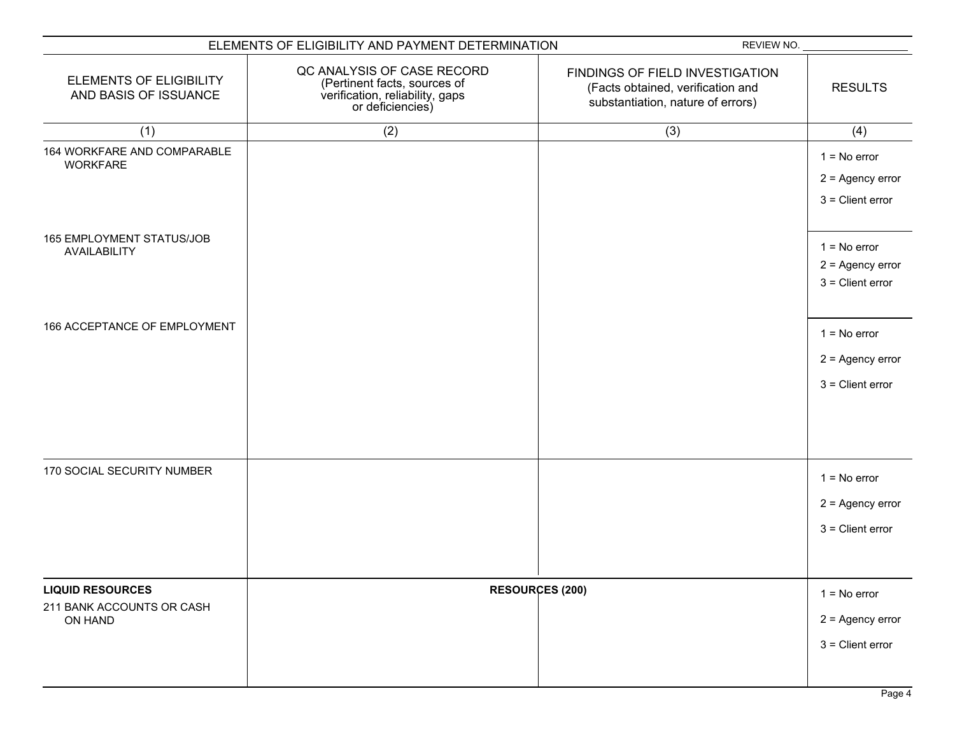|                                                                 | ELEMENTS OF ELIGIBILITY AND PAYMENT DETERMINATION                                                                 | REVIEW NO.                                                                                                |                                                            |
|-----------------------------------------------------------------|-------------------------------------------------------------------------------------------------------------------|-----------------------------------------------------------------------------------------------------------|------------------------------------------------------------|
| <b>ELEMENTS OF ELIGIBILITY</b><br>AND BASIS OF ISSUANCE         | QC ANALYSIS OF CASE RECORD<br>(Pertinent facts, sources of<br>verification, reliability, gaps<br>or deficiencies) | FINDINGS OF FIELD INVESTIGATION<br>(Facts obtained, verification and<br>substantiation, nature of errors) | <b>RESULTS</b>                                             |
| (1)                                                             | (2)                                                                                                               | (3)                                                                                                       | (4)                                                        |
| 164 WORKFARE AND COMPARABLE<br><b>WORKFARE</b>                  |                                                                                                                   |                                                                                                           | $1 = No error$<br>$2 =$ Agency error<br>$3$ = Client error |
| 165 EMPLOYMENT STATUS/JOB<br>AVAILABILITY                       |                                                                                                                   |                                                                                                           | $1 = No error$<br>$2 =$ Agency error<br>$3$ = Client error |
| 166 ACCEPTANCE OF EMPLOYMENT                                    |                                                                                                                   |                                                                                                           | $1 = No error$<br>$2 =$ Agency error<br>$3$ = Client error |
| 170 SOCIAL SECURITY NUMBER                                      |                                                                                                                   |                                                                                                           | $1 = No error$<br>$2 =$ Agency error<br>$3$ = Client error |
| <b>LIQUID RESOURCES</b><br>211 BANK ACCOUNTS OR CASH<br>ON HAND |                                                                                                                   | <b>RESOURCES (200)</b>                                                                                    | $1 = No error$<br>$2 =$ Agency error<br>$3$ = Client error |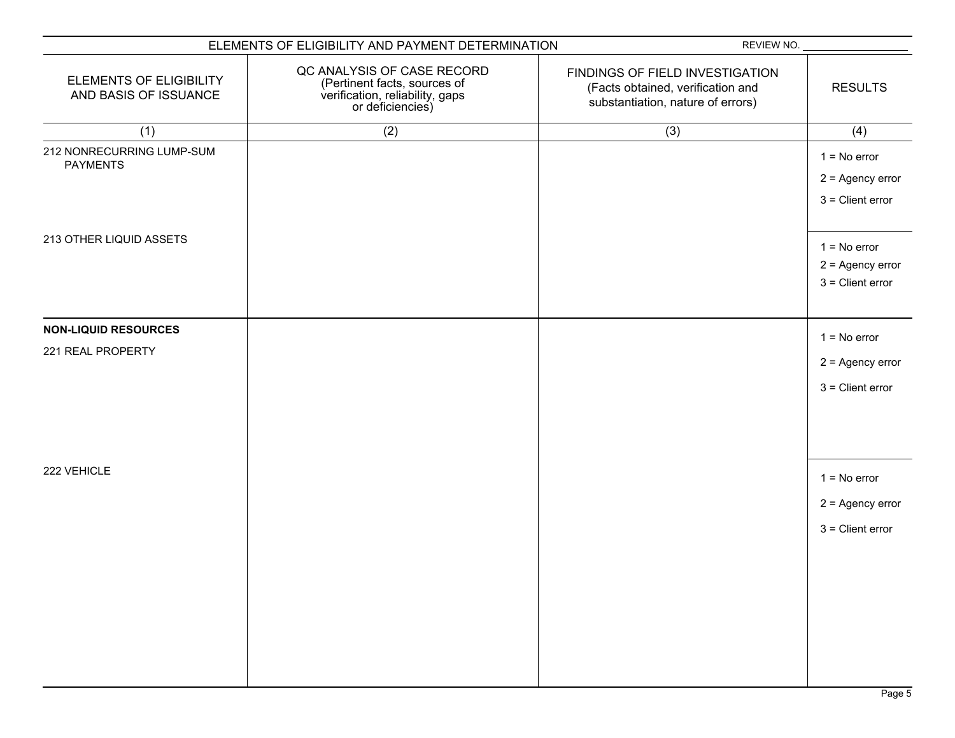|                                                         | ELEMENTS OF ELIGIBILITY AND PAYMENT DETERMINATION                                                                 | REVIEW NO.                                                                                                |                                                            |
|---------------------------------------------------------|-------------------------------------------------------------------------------------------------------------------|-----------------------------------------------------------------------------------------------------------|------------------------------------------------------------|
| <b>ELEMENTS OF ELIGIBILITY</b><br>AND BASIS OF ISSUANCE | QC ANALYSIS OF CASE RECORD<br>(Pertinent facts, sources of<br>verification, reliability, gaps<br>or deficiencies) | FINDINGS OF FIELD INVESTIGATION<br>(Facts obtained, verification and<br>substantiation, nature of errors) | <b>RESULTS</b>                                             |
| (1)                                                     | (2)                                                                                                               | (3)                                                                                                       | (4)                                                        |
| 212 NONRECURRING LUMP-SUM<br><b>PAYMENTS</b>            |                                                                                                                   |                                                                                                           | $1 = No error$<br>$2 =$ Agency error<br>$3$ = Client error |
| 213 OTHER LIQUID ASSETS                                 |                                                                                                                   |                                                                                                           | $1 = No error$<br>$2 =$ Agency error<br>$3$ = Client error |
| <b>NON-LIQUID RESOURCES</b>                             |                                                                                                                   |                                                                                                           |                                                            |
| 221 REAL PROPERTY                                       |                                                                                                                   |                                                                                                           | $1 = No error$<br>$2 =$ Agency error<br>$3$ = Client error |
| 222 VEHICLE                                             |                                                                                                                   |                                                                                                           | $1 = No error$<br>$2 =$ Agency error<br>$3$ = Client error |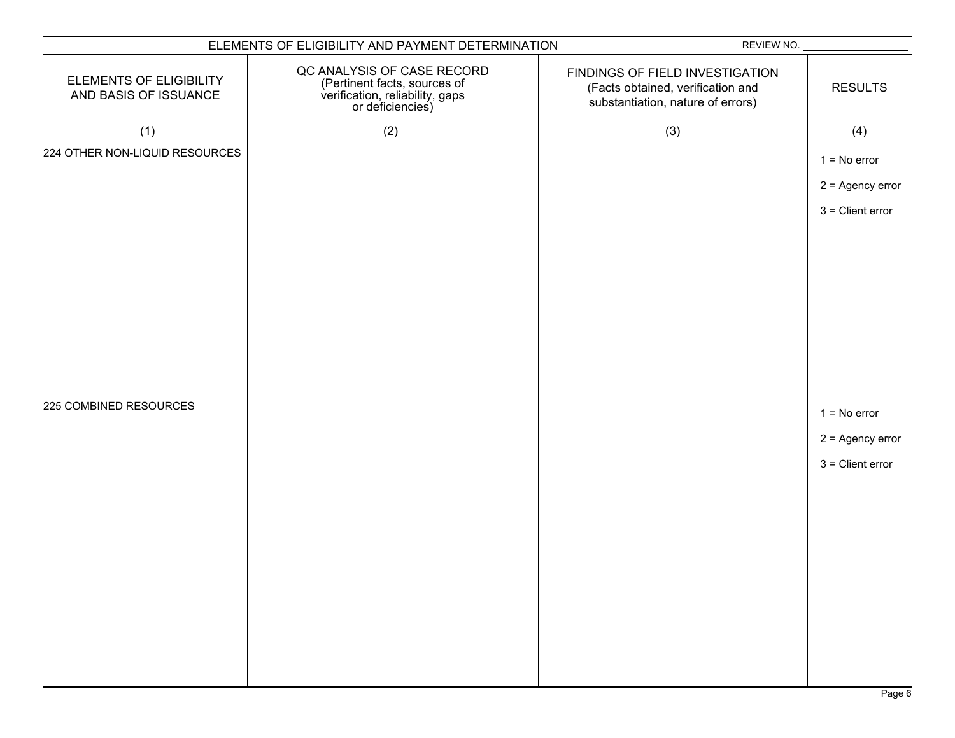| ELEMENTS OF ELIGIBILITY AND PAYMENT DETERMINATION |                                                                                                                   | REVIEW NO.                                                                                                |                                                            |
|---------------------------------------------------|-------------------------------------------------------------------------------------------------------------------|-----------------------------------------------------------------------------------------------------------|------------------------------------------------------------|
| ELEMENTS OF ELIGIBILITY<br>AND BASIS OF ISSUANCE  | QC ANALYSIS OF CASE RECORD<br>(Pertinent facts, sources of<br>verification, reliability, gaps<br>or deficiencies) | FINDINGS OF FIELD INVESTIGATION<br>(Facts obtained, verification and<br>substantiation, nature of errors) | <b>RESULTS</b>                                             |
| (1)                                               | (2)                                                                                                               | (3)                                                                                                       | (4)                                                        |
| 224 OTHER NON-LIQUID RESOURCES                    |                                                                                                                   |                                                                                                           | $1 = No error$<br>$2 =$ Agency error<br>$3$ = Client error |
| 225 COMBINED RESOURCES                            |                                                                                                                   |                                                                                                           | $1 = No error$<br>$2 =$ Agency error<br>$3$ = Client error |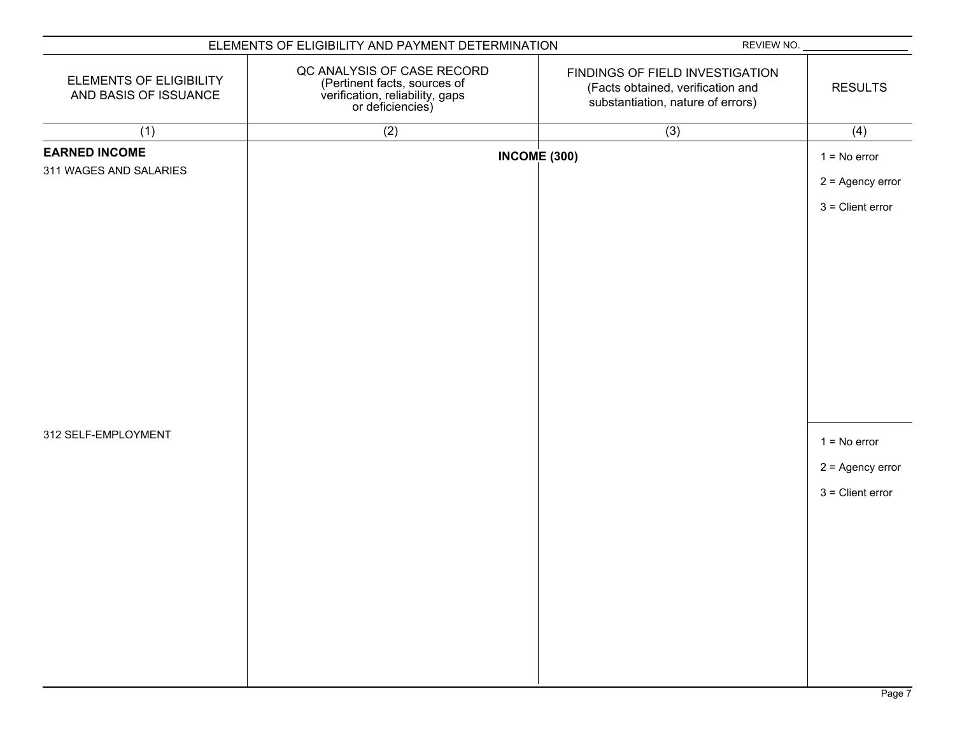|                                                  | ELEMENTS OF ELIGIBILITY AND PAYMENT DETERMINATION                                                                 | REVIEW NO.                                                                                                |                                                            |
|--------------------------------------------------|-------------------------------------------------------------------------------------------------------------------|-----------------------------------------------------------------------------------------------------------|------------------------------------------------------------|
| ELEMENTS OF ELIGIBILITY<br>AND BASIS OF ISSUANCE | QC ANALYSIS OF CASE RECORD<br>(Pertinent facts, sources of<br>verification, reliability, gaps<br>or deficiencies) | FINDINGS OF FIELD INVESTIGATION<br>(Facts obtained, verification and<br>substantiation, nature of errors) | <b>RESULTS</b>                                             |
| (1)                                              | (2)                                                                                                               | (3)                                                                                                       | (4)                                                        |
| <b>EARNED INCOME</b><br>311 WAGES AND SALARIES   |                                                                                                                   | <b>INCOME (300)</b>                                                                                       | $1 = No error$<br>$2 =$ Agency error<br>$3$ = Client error |
| 312 SELF-EMPLOYMENT                              |                                                                                                                   |                                                                                                           | $1 = No error$<br>$2 =$ Agency error<br>$3$ = Client error |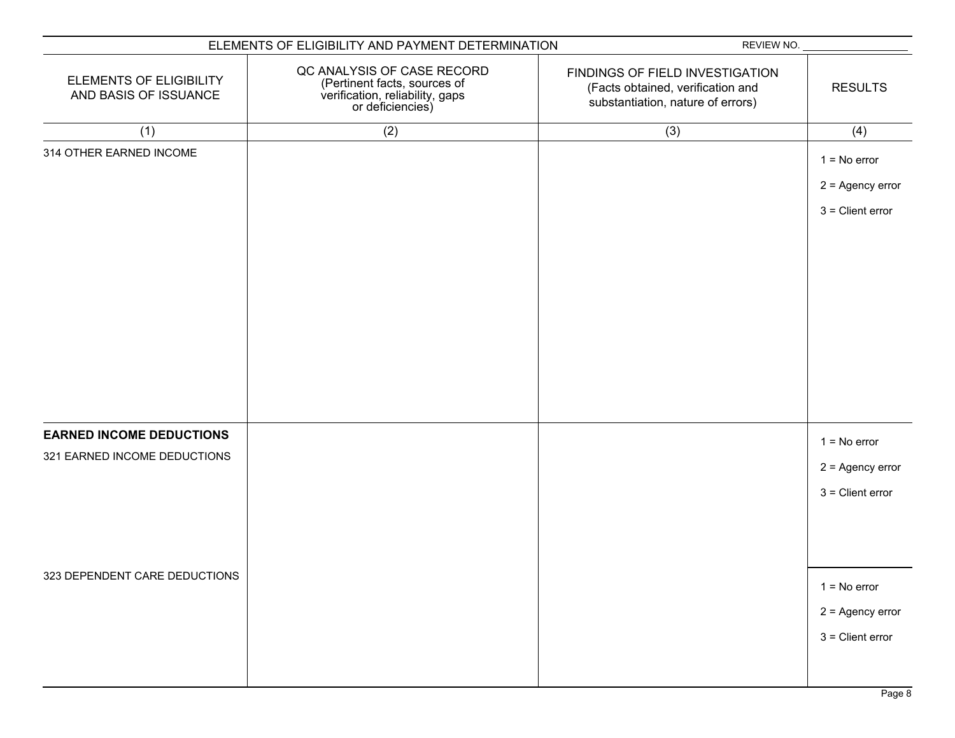| ELEMENTS OF ELIGIBILITY AND PAYMENT DETERMINATION               |                                                                                                                   | REVIEW NO.                                                                                                |                                                            |
|-----------------------------------------------------------------|-------------------------------------------------------------------------------------------------------------------|-----------------------------------------------------------------------------------------------------------|------------------------------------------------------------|
| <b>ELEMENTS OF ELIGIBILITY</b><br>AND BASIS OF ISSUANCE         | QC ANALYSIS OF CASE RECORD<br>(Pertinent facts, sources of<br>verification, reliability, gaps<br>or deficiencies) | FINDINGS OF FIELD INVESTIGATION<br>(Facts obtained, verification and<br>substantiation, nature of errors) | <b>RESULTS</b>                                             |
| (1)                                                             | (2)                                                                                                               | (3)                                                                                                       | (4)                                                        |
| 314 OTHER EARNED INCOME                                         |                                                                                                                   |                                                                                                           | $1 = No error$<br>$2 =$ Agency error<br>$3$ = Client error |
| <b>EARNED INCOME DEDUCTIONS</b><br>321 EARNED INCOME DEDUCTIONS |                                                                                                                   |                                                                                                           | $1 = No error$<br>$2 =$ Agency error<br>$3$ = Client error |
| 323 DEPENDENT CARE DEDUCTIONS                                   |                                                                                                                   |                                                                                                           | $1 = No error$<br>$2 =$ Agency error<br>$3$ = Client error |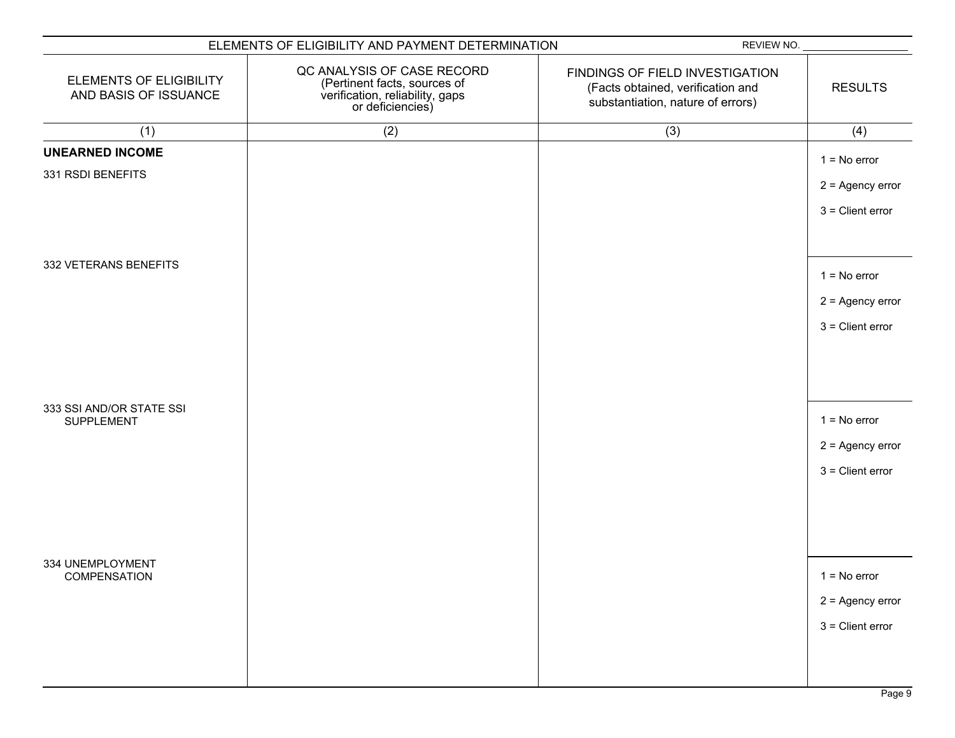| ELEMENTS OF ELIGIBILITY AND PAYMENT DETERMINATION       |                                                                                                                   | REVIEW NO.                                                                                                |                    |
|---------------------------------------------------------|-------------------------------------------------------------------------------------------------------------------|-----------------------------------------------------------------------------------------------------------|--------------------|
| <b>ELEMENTS OF ELIGIBILITY</b><br>AND BASIS OF ISSUANCE | QC ANALYSIS OF CASE RECORD<br>(Pertinent facts, sources of<br>verification, reliability, gaps<br>or deficiencies) | FINDINGS OF FIELD INVESTIGATION<br>(Facts obtained, verification and<br>substantiation, nature of errors) | <b>RESULTS</b>     |
| (1)                                                     | (2)                                                                                                               | (3)                                                                                                       | (4)                |
| <b>UNEARNED INCOME</b>                                  |                                                                                                                   |                                                                                                           | $1 = No error$     |
| 331 RSDI BENEFITS                                       |                                                                                                                   |                                                                                                           | $2 =$ Agency error |
|                                                         |                                                                                                                   |                                                                                                           |                    |
|                                                         |                                                                                                                   |                                                                                                           | $3$ = Client error |
|                                                         |                                                                                                                   |                                                                                                           |                    |
| 332 VETERANS BENEFITS                                   |                                                                                                                   |                                                                                                           | $1 = No error$     |
|                                                         |                                                                                                                   |                                                                                                           | $2 =$ Agency error |
|                                                         |                                                                                                                   |                                                                                                           | $3 =$ Client error |
|                                                         |                                                                                                                   |                                                                                                           |                    |
|                                                         |                                                                                                                   |                                                                                                           |                    |
|                                                         |                                                                                                                   |                                                                                                           |                    |
| 333 SSI AND/OR STATE SSI<br>SUPPLEMENT                  |                                                                                                                   |                                                                                                           | $1 = No error$     |
|                                                         |                                                                                                                   |                                                                                                           | $2 =$ Agency error |
|                                                         |                                                                                                                   |                                                                                                           | $3$ = Client error |
|                                                         |                                                                                                                   |                                                                                                           |                    |
|                                                         |                                                                                                                   |                                                                                                           |                    |
|                                                         |                                                                                                                   |                                                                                                           |                    |
| 334 UNEMPLOYMENT                                        |                                                                                                                   |                                                                                                           |                    |
| COMPENSATION                                            |                                                                                                                   |                                                                                                           | $1 = No error$     |
|                                                         |                                                                                                                   |                                                                                                           | $2 =$ Agency error |
|                                                         |                                                                                                                   |                                                                                                           | $3$ = Client error |
|                                                         |                                                                                                                   |                                                                                                           |                    |
|                                                         |                                                                                                                   |                                                                                                           |                    |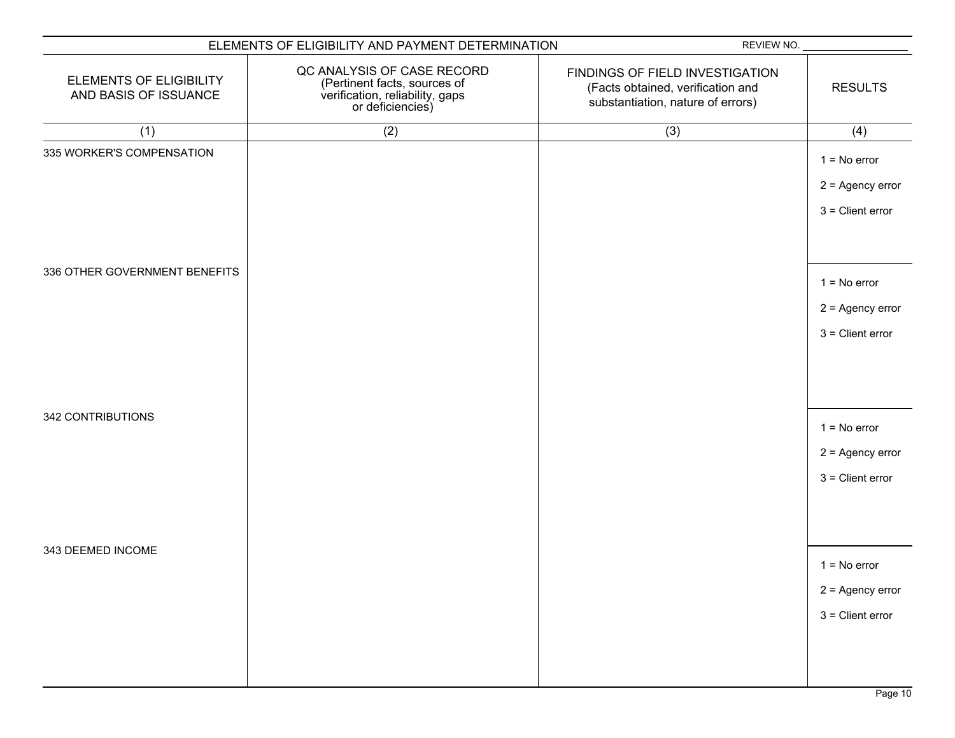| ELEMENTS OF ELIGIBILITY AND PAYMENT DETERMINATION       |                                                                                                                   | REVIEW NO.                                                                                                |                                                            |
|---------------------------------------------------------|-------------------------------------------------------------------------------------------------------------------|-----------------------------------------------------------------------------------------------------------|------------------------------------------------------------|
| <b>ELEMENTS OF ELIGIBILITY</b><br>AND BASIS OF ISSUANCE | QC ANALYSIS OF CASE RECORD<br>(Pertinent facts, sources of<br>verification, reliability, gaps<br>or deficiencies) | FINDINGS OF FIELD INVESTIGATION<br>(Facts obtained, verification and<br>substantiation, nature of errors) | <b>RESULTS</b>                                             |
| (1)                                                     | (2)                                                                                                               | (3)                                                                                                       | (4)                                                        |
| 335 WORKER'S COMPENSATION                               |                                                                                                                   |                                                                                                           | $1 = No error$<br>$2 =$ Agency error<br>$3$ = Client error |
| 336 OTHER GOVERNMENT BENEFITS                           |                                                                                                                   |                                                                                                           | $1 = No error$<br>$2 =$ Agency error<br>$3$ = Client error |
| 342 CONTRIBUTIONS                                       |                                                                                                                   |                                                                                                           | $1 = No error$<br>$2 =$ Agency error<br>$3$ = Client error |
| 343 DEEMED INCOME                                       |                                                                                                                   |                                                                                                           | $1 = No error$<br>$2 =$ Agency error<br>$3$ = Client error |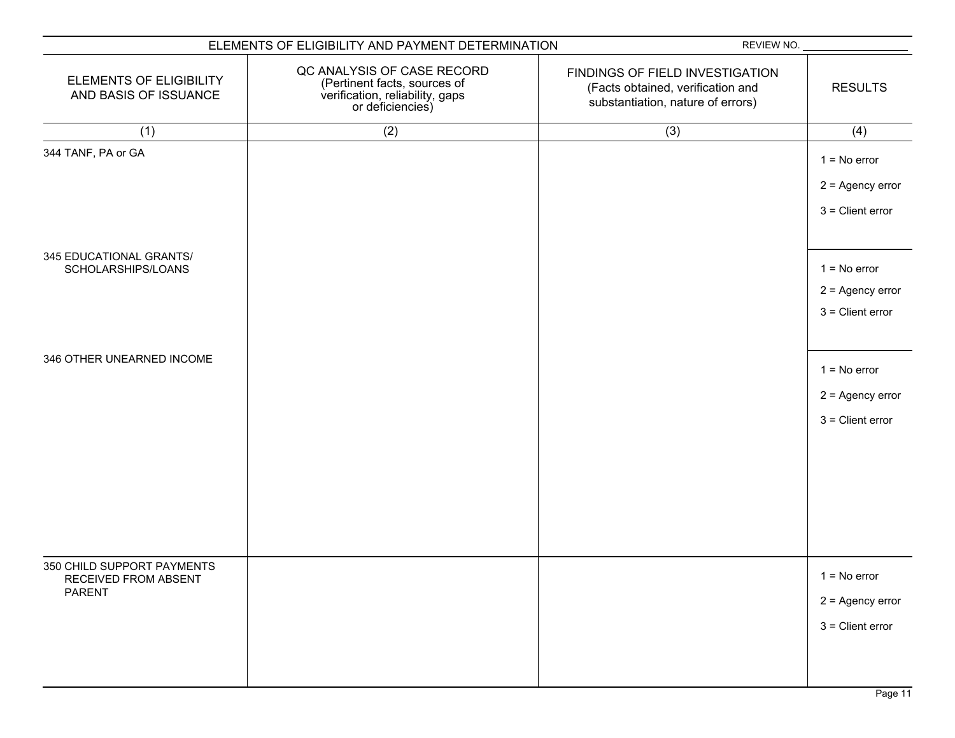| ELEMENTS OF ELIGIBILITY AND PAYMENT DETERMINATION            |                                                                                                                   | REVIEW NO.                                                                                                |                                                            |
|--------------------------------------------------------------|-------------------------------------------------------------------------------------------------------------------|-----------------------------------------------------------------------------------------------------------|------------------------------------------------------------|
| ELEMENTS OF ELIGIBILITY<br>AND BASIS OF ISSUANCE             | QC ANALYSIS OF CASE RECORD<br>(Pertinent facts, sources of<br>verification, reliability, gaps<br>or deficiencies) | FINDINGS OF FIELD INVESTIGATION<br>(Facts obtained, verification and<br>substantiation, nature of errors) | <b>RESULTS</b>                                             |
| (1)                                                          | (2)                                                                                                               | (3)                                                                                                       | (4)                                                        |
| 344 TANF, PA or GA                                           |                                                                                                                   |                                                                                                           | $1 = No error$<br>$2 =$ Agency error<br>$3$ = Client error |
| 345 EDUCATIONAL GRANTS/<br>SCHOLARSHIPS/LOANS                |                                                                                                                   |                                                                                                           | $1 = No error$<br>$2 =$ Agency error<br>$3$ = Client error |
| 346 OTHER UNEARNED INCOME                                    |                                                                                                                   |                                                                                                           | $1 = No error$<br>$2 =$ Agency error<br>$3$ = Client error |
| 350 CHILD SUPPORT PAYMENTS<br>RECEIVED FROM ABSENT<br>PARENT |                                                                                                                   |                                                                                                           | $1 = No error$<br>$2 =$ Agency error<br>$3$ = Client error |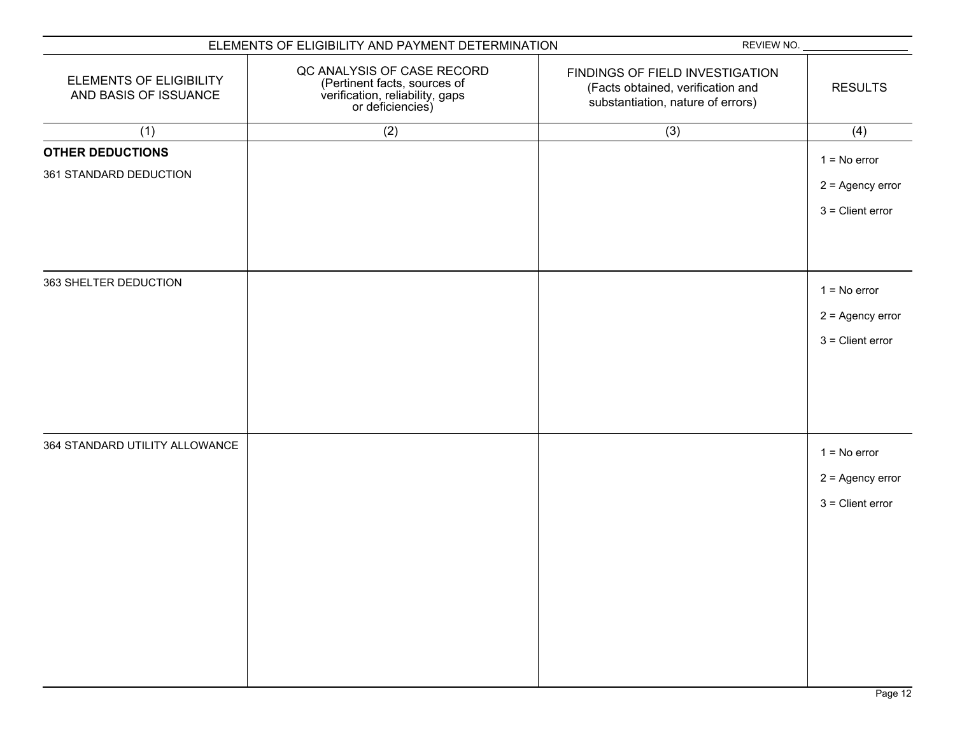| ELEMENTS OF ELIGIBILITY AND PAYMENT DETERMINATION       |                                                                                                                   | REVIEW NO.                                                                                                |                    |
|---------------------------------------------------------|-------------------------------------------------------------------------------------------------------------------|-----------------------------------------------------------------------------------------------------------|--------------------|
| <b>ELEMENTS OF ELIGIBILITY</b><br>AND BASIS OF ISSUANCE | QC ANALYSIS OF CASE RECORD<br>(Pertinent facts, sources of<br>verification, reliability, gaps<br>or deficiencies) | FINDINGS OF FIELD INVESTIGATION<br>(Facts obtained, verification and<br>substantiation, nature of errors) | <b>RESULTS</b>     |
| (1)                                                     | (2)                                                                                                               | (3)                                                                                                       | (4)                |
| <b>OTHER DEDUCTIONS</b>                                 |                                                                                                                   |                                                                                                           | $1 = No error$     |
| 361 STANDARD DEDUCTION                                  |                                                                                                                   |                                                                                                           | $2 =$ Agency error |
|                                                         |                                                                                                                   |                                                                                                           |                    |
|                                                         |                                                                                                                   |                                                                                                           | $3$ = Client error |
|                                                         |                                                                                                                   |                                                                                                           |                    |
| 363 SHELTER DEDUCTION                                   |                                                                                                                   |                                                                                                           |                    |
|                                                         |                                                                                                                   |                                                                                                           | $1 = No error$     |
|                                                         |                                                                                                                   |                                                                                                           | $2 =$ Agency error |
|                                                         |                                                                                                                   |                                                                                                           | $3$ = Client error |
|                                                         |                                                                                                                   |                                                                                                           |                    |
|                                                         |                                                                                                                   |                                                                                                           |                    |
|                                                         |                                                                                                                   |                                                                                                           |                    |
| 364 STANDARD UTILITY ALLOWANCE                          |                                                                                                                   |                                                                                                           |                    |
|                                                         |                                                                                                                   |                                                                                                           | $1 = No error$     |
|                                                         |                                                                                                                   |                                                                                                           | $2 =$ Agency error |
|                                                         |                                                                                                                   |                                                                                                           | $3$ = Client error |
|                                                         |                                                                                                                   |                                                                                                           |                    |
|                                                         |                                                                                                                   |                                                                                                           |                    |
|                                                         |                                                                                                                   |                                                                                                           |                    |
|                                                         |                                                                                                                   |                                                                                                           |                    |
|                                                         |                                                                                                                   |                                                                                                           |                    |
|                                                         |                                                                                                                   |                                                                                                           |                    |
|                                                         |                                                                                                                   |                                                                                                           |                    |
|                                                         |                                                                                                                   |                                                                                                           |                    |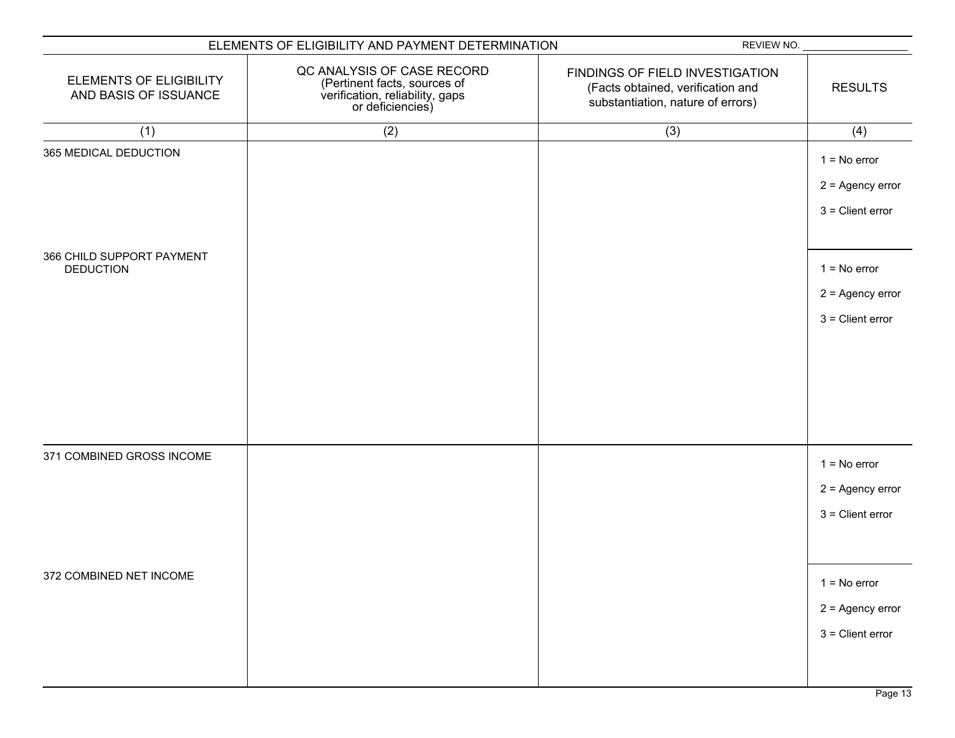|                                                         | ELEMENTS OF ELIGIBILITY AND PAYMENT DETERMINATION                                                                 | REVIEW NO.                                                                                                |                                                            |
|---------------------------------------------------------|-------------------------------------------------------------------------------------------------------------------|-----------------------------------------------------------------------------------------------------------|------------------------------------------------------------|
| <b>ELEMENTS OF ELIGIBILITY</b><br>AND BASIS OF ISSUANCE | QC ANALYSIS OF CASE RECORD<br>(Pertinent facts, sources of<br>verification, reliability, gaps<br>or deficiencies) | FINDINGS OF FIELD INVESTIGATION<br>(Facts obtained, verification and<br>substantiation, nature of errors) | <b>RESULTS</b>                                             |
| (1)                                                     | (2)                                                                                                               | (3)                                                                                                       | (4)                                                        |
| 365 MEDICAL DEDUCTION                                   |                                                                                                                   |                                                                                                           | $1 = No error$<br>$2 =$ Agency error<br>$3$ = Client error |
| 366 CHILD SUPPORT PAYMENT<br><b>DEDUCTION</b>           |                                                                                                                   |                                                                                                           | $1 = No error$<br>$2 =$ Agency error<br>$3$ = Client error |
| 371 COMBINED GROSS INCOME                               |                                                                                                                   |                                                                                                           | $1 = No error$<br>$2 =$ Agency error<br>$3$ = Client error |
| 372 COMBINED NET INCOME                                 |                                                                                                                   |                                                                                                           | $1 = No error$<br>$2 =$ Agency error<br>$3$ = Client error |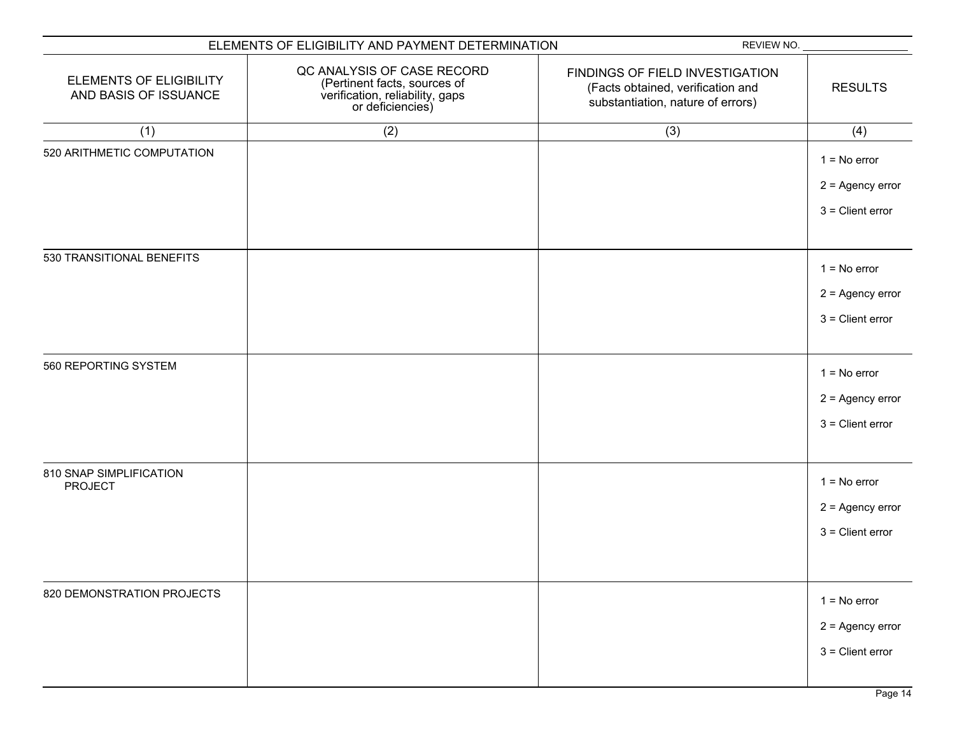|                                                         | ELEMENTS OF ELIGIBILITY AND PAYMENT DETERMINATION                                                                 | REVIEW NO.                                                                                                |                                                            |
|---------------------------------------------------------|-------------------------------------------------------------------------------------------------------------------|-----------------------------------------------------------------------------------------------------------|------------------------------------------------------------|
| <b>ELEMENTS OF ELIGIBILITY</b><br>AND BASIS OF ISSUANCE | QC ANALYSIS OF CASE RECORD<br>(Pertinent facts, sources of<br>verification, reliability, gaps<br>or deficiencies) | FINDINGS OF FIELD INVESTIGATION<br>(Facts obtained, verification and<br>substantiation, nature of errors) | <b>RESULTS</b>                                             |
| (1)                                                     | (2)                                                                                                               | (3)                                                                                                       | (4)                                                        |
| 520 ARITHMETIC COMPUTATION                              |                                                                                                                   |                                                                                                           | $1 = No error$<br>$2 =$ Agency error<br>$3$ = Client error |
| 530 TRANSITIONAL BENEFITS                               |                                                                                                                   |                                                                                                           | $1 = No error$<br>$2 =$ Agency error<br>$3$ = Client error |
| 560 REPORTING SYSTEM                                    |                                                                                                                   |                                                                                                           | $1 = No error$<br>$2 =$ Agency error<br>$3$ = Client error |
| 810 SNAP SIMPLIFICATION<br><b>PROJECT</b>               |                                                                                                                   |                                                                                                           | $1 = No error$<br>$2 =$ Agency error<br>$3$ = Client error |
| 820 DEMONSTRATION PROJECTS                              |                                                                                                                   |                                                                                                           | $1 = No error$<br>$2 =$ Agency error<br>$3$ = Client error |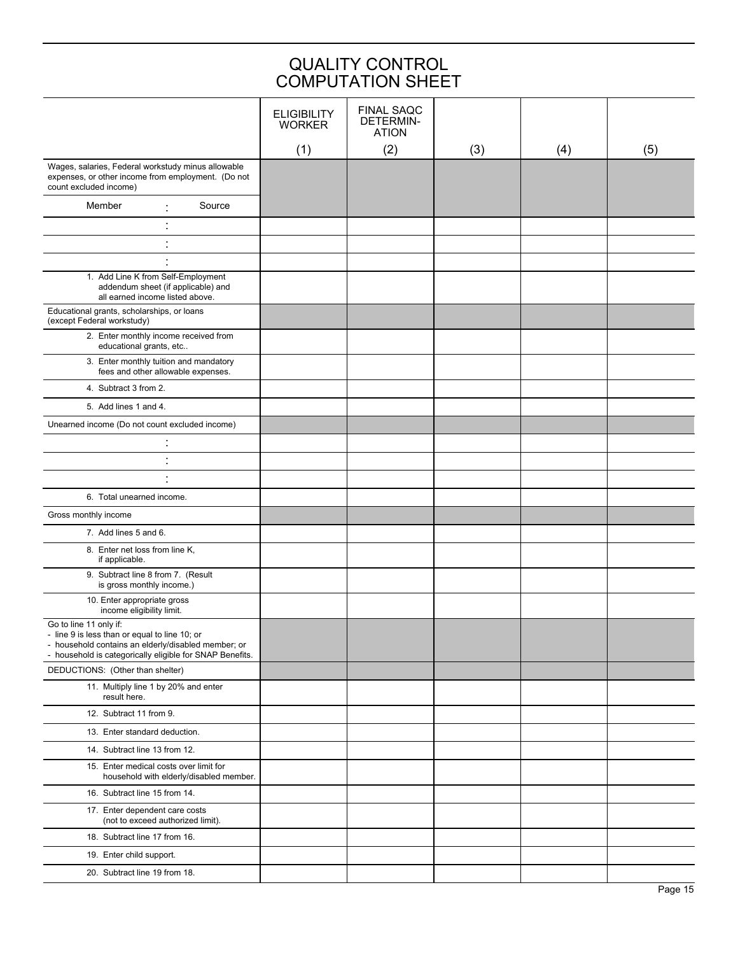| <b>QUALITY CONTROL</b><br><b>COMPUTATION SHEET</b>                                                                                                                                         |                                     |                                                       |     |     |     |
|--------------------------------------------------------------------------------------------------------------------------------------------------------------------------------------------|-------------------------------------|-------------------------------------------------------|-----|-----|-----|
|                                                                                                                                                                                            | <b>ELIGIBILITY</b><br><b>WORKER</b> | <b>FINAL SAQC</b><br><b>DETERMIN-</b><br><b>ATION</b> |     |     |     |
|                                                                                                                                                                                            | (1)                                 | (2)                                                   | (3) | (4) | (5) |
| Wages, salaries, Federal workstudy minus allowable<br>expenses, or other income from employment. (Do not<br>count excluded income)                                                         |                                     |                                                       |     |     |     |
| Member<br>Source                                                                                                                                                                           |                                     |                                                       |     |     |     |
| $\blacksquare$                                                                                                                                                                             |                                     |                                                       |     |     |     |
| $\blacksquare$<br>$\blacksquare$                                                                                                                                                           |                                     |                                                       |     |     |     |
| $\blacksquare$                                                                                                                                                                             |                                     |                                                       |     |     |     |
| 1. Add Line K from Self-Employment<br>addendum sheet (if applicable) and<br>all earned income listed above.                                                                                |                                     |                                                       |     |     |     |
| Educational grants, scholarships, or loans<br>(except Federal workstudy)                                                                                                                   |                                     |                                                       |     |     |     |
| 2. Enter monthly income received from<br>educational grants, etc                                                                                                                           |                                     |                                                       |     |     |     |
| 3. Enter monthly tuition and mandatory<br>fees and other allowable expenses.                                                                                                               |                                     |                                                       |     |     |     |
| 4. Subtract 3 from 2.                                                                                                                                                                      |                                     |                                                       |     |     |     |
| 5. Add lines 1 and 4.                                                                                                                                                                      |                                     |                                                       |     |     |     |
| Unearned income (Do not count excluded income)                                                                                                                                             |                                     |                                                       |     |     |     |
| $\blacksquare$                                                                                                                                                                             |                                     |                                                       |     |     |     |
| $\cdot$                                                                                                                                                                                    |                                     |                                                       |     |     |     |
| $\blacksquare$                                                                                                                                                                             |                                     |                                                       |     |     |     |
| 6. Total unearned income.                                                                                                                                                                  |                                     |                                                       |     |     |     |
| Gross monthly income                                                                                                                                                                       |                                     |                                                       |     |     |     |
| 7. Add lines 5 and 6.                                                                                                                                                                      |                                     |                                                       |     |     |     |
| 8. Enter net loss from line K,<br>if applicable.                                                                                                                                           |                                     |                                                       |     |     |     |
| 9. Subtract line 8 from 7. (Result<br>is gross monthly income.)                                                                                                                            |                                     |                                                       |     |     |     |
| 10. Enter appropriate gross<br>income eligibility limit.                                                                                                                                   |                                     |                                                       |     |     |     |
| Go to line 11 only if:<br>- line 9 is less than or equal to line 10; or<br>- household contains an elderly/disabled member; or<br>- household is categorically eligible for SNAP Benefits. |                                     |                                                       |     |     |     |
| DEDUCTIONS: (Other than shelter)                                                                                                                                                           |                                     |                                                       |     |     |     |
| 11. Multiply line 1 by 20% and enter<br>result here.                                                                                                                                       |                                     |                                                       |     |     |     |
| 12. Subtract 11 from 9.                                                                                                                                                                    |                                     |                                                       |     |     |     |
| 13. Enter standard deduction.                                                                                                                                                              |                                     |                                                       |     |     |     |
| 14. Subtract line 13 from 12.                                                                                                                                                              |                                     |                                                       |     |     |     |
| 15. Enter medical costs over limit for<br>household with elderly/disabled member.                                                                                                          |                                     |                                                       |     |     |     |
| 16. Subtract line 15 from 14.                                                                                                                                                              |                                     |                                                       |     |     |     |
| 17. Enter dependent care costs<br>(not to exceed authorized limit).                                                                                                                        |                                     |                                                       |     |     |     |
| 18. Subtract line 17 from 16.                                                                                                                                                              |                                     |                                                       |     |     |     |
| 19. Enter child support.                                                                                                                                                                   |                                     |                                                       |     |     |     |
| 20. Subtract line 19 from 18.                                                                                                                                                              |                                     |                                                       |     |     |     |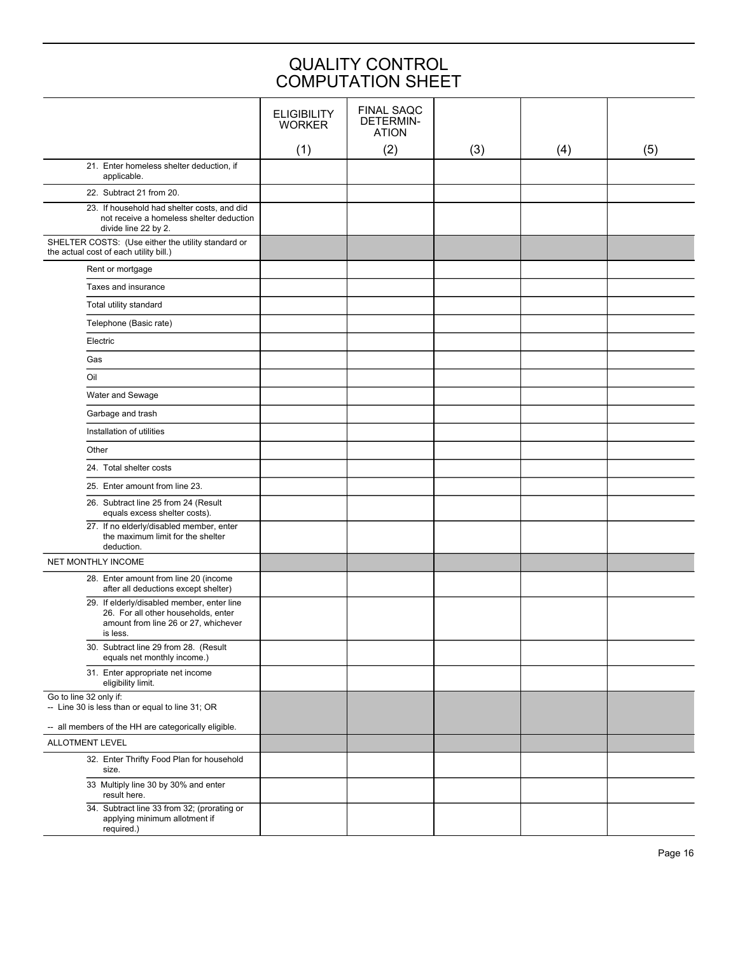|                                                                                                                                       |                                     | <b>QUALITY CONTROL</b><br><b>COMPUTATION SHEET</b>    |     |     |     |
|---------------------------------------------------------------------------------------------------------------------------------------|-------------------------------------|-------------------------------------------------------|-----|-----|-----|
|                                                                                                                                       | <b>ELIGIBILITY</b><br><b>WORKER</b> | <b>FINAL SAQC</b><br><b>DETERMIN-</b><br><b>ATION</b> |     |     |     |
| 21. Enter homeless shelter deduction, if                                                                                              | (1)                                 | (2)                                                   | (3) | (4) | (5) |
| applicable.                                                                                                                           |                                     |                                                       |     |     |     |
| 22. Subtract 21 from 20.                                                                                                              |                                     |                                                       |     |     |     |
| 23. If household had shelter costs, and did<br>not receive a homeless shelter deduction<br>divide line 22 by 2.                       |                                     |                                                       |     |     |     |
| SHELTER COSTS: (Use either the utility standard or<br>the actual cost of each utility bill.)                                          |                                     |                                                       |     |     |     |
| Rent or mortgage                                                                                                                      |                                     |                                                       |     |     |     |
| Taxes and insurance                                                                                                                   |                                     |                                                       |     |     |     |
| Total utility standard                                                                                                                |                                     |                                                       |     |     |     |
| Telephone (Basic rate)                                                                                                                |                                     |                                                       |     |     |     |
| Electric                                                                                                                              |                                     |                                                       |     |     |     |
| Gas                                                                                                                                   |                                     |                                                       |     |     |     |
| Oil                                                                                                                                   |                                     |                                                       |     |     |     |
| Water and Sewage                                                                                                                      |                                     |                                                       |     |     |     |
| Garbage and trash                                                                                                                     |                                     |                                                       |     |     |     |
| Installation of utilities                                                                                                             |                                     |                                                       |     |     |     |
| Other                                                                                                                                 |                                     |                                                       |     |     |     |
| 24. Total shelter costs                                                                                                               |                                     |                                                       |     |     |     |
| 25. Enter amount from line 23.                                                                                                        |                                     |                                                       |     |     |     |
| 26. Subtract line 25 from 24 (Result<br>equals excess shelter costs).                                                                 |                                     |                                                       |     |     |     |
| 27. If no elderly/disabled member, enter<br>the maximum limit for the shelter<br>deduction.                                           |                                     |                                                       |     |     |     |
| NET MONTHLY INCOME                                                                                                                    |                                     |                                                       |     |     |     |
| 28. Enter amount from line 20 (income<br>after all deductions except shelter)                                                         |                                     |                                                       |     |     |     |
| 29. If elderly/disabled member, enter line<br>26. For all other households, enter<br>amount from line 26 or 27, whichever<br>is less. |                                     |                                                       |     |     |     |
| 30. Subtract line 29 from 28. (Result<br>equals net monthly income.)                                                                  |                                     |                                                       |     |     |     |
| 31. Enter appropriate net income<br>eligibility limit.                                                                                |                                     |                                                       |     |     |     |
| Go to line 32 only if:<br>-- Line 30 is less than or equal to line 31; OR                                                             |                                     |                                                       |     |     |     |
| -- all members of the HH are categorically eligible.<br>ALLOTMENT LEVEL                                                               |                                     |                                                       |     |     |     |
| 32. Enter Thrifty Food Plan for household<br>size.                                                                                    |                                     |                                                       |     |     |     |
| 33 Multiply line 30 by 30% and enter<br>result here.                                                                                  |                                     |                                                       |     |     |     |
| 34. Subtract line 33 from 32; (prorating or<br>applying minimum allotment if                                                          |                                     |                                                       |     |     |     |

required.)